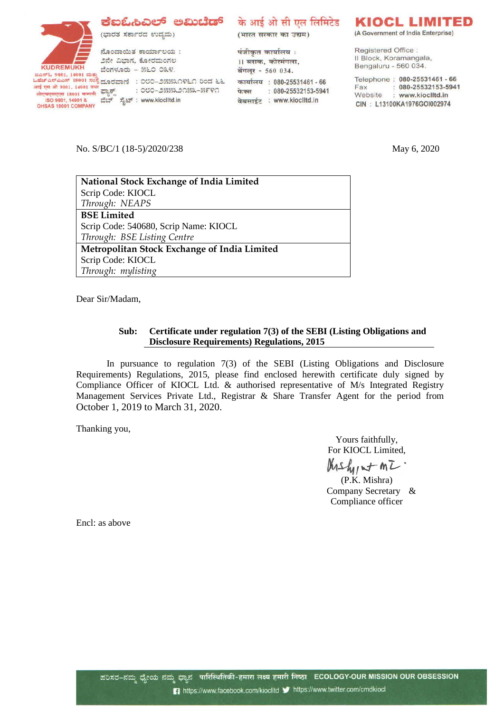**KUDREMUKH** - NUREMURE<br>ಮಿಂಚ್ 1901, 14901 ಮತ್ತು<br>ಓಹೆಚ್ಎಸ್ಎಎಸ್ 18001 ಸಂಸ್ಥೆ ದೂರವಾಣಿ : ೦೮೦–೨೫೫೩೧೪೬೧ ರಿಂದ ೬೬<br>आई एस ओ 9001, 14001 तथा आई एस औ 9001, 14001 तथा आई एस ओ 9001, 14001 तया<br>ओएचएसएएस 18001 कम्पनी स्प्रेलुक्तू<br>- ISO 9001, 14001 & - डॉटर्ज<br>OHSAS 18001 COMPANY

## **ಕೆಐಓಿವಿಲ್ ಅಮಿಟೆಡ್** के आई ओ सी एल लिमिटेड

: ೦೮೦–೨೫೫೩೨೧೫೩–೫೯೪೧

(ಭಾರತ ಸರ್ಕಾರದ ಉದ್ಯಮ)

ನೊಂದಾಯಿತ ಕಾರ್ಯಾಲಯ: ೨ನೇ ವಿಭಾಗ, ಕೋರಮಂಗಲ ಬೆಂಗಳೂರು - ೫೬೦ ೦೩೪.

(भारत सरकार का उद्यम)

पंजीकृत कार्यालय: ।। ब्लाक, कोरमंगला, बेंगलूर - 560 034. कार्यालय: 080-25531461 - 66 फेक्स : 080-25532153-5941 वेबसाईट : www.kioclitd.in

## KIOCL LIMITED

(A Government of India Enterprise)

Registered Office: Il Block, Koramangala, Bengaluru - 560 034.

Telephone: 080-25531461 - 66 Fax: : 080-25532153-5941<br>Website : www.kioclitd.in CIN: L13100KA1976GOI002974

No. S/BC/1 (18-5)/2020/238 May 6, 2020

<del>showonova</del> 18001 <del>ಕೂಡನ</del>ೇ ಫ್ಯಾಕ್ಸ್ ರಾಖಲು ಮಾಡಿಸಿದಿರುವ ISO 9001, 14001 & ವೆಬ್ ಸೈಟ್ : www.kioclitd.in<br>ISO 9001, 14001 & ವೆಬ್ ಸೈಟ್ : www.kioclitd.in

| National Stock Exchange of India Limited     |
|----------------------------------------------|
| Scrip Code: KIOCL                            |
| Through: NEAPS                               |
| <b>BSE Limited</b>                           |
| Scrip Code: 540680, Scrip Name: KIOCL        |
| Through: BSE Listing Centre                  |
| Metropolitan Stock Exchange of India Limited |
| Scrip Code: KIOCL                            |
| Through: mylisting                           |

Dear Sir/Madam,

## **Sub: Certificate under regulation 7(3) of the SEBI (Listing Obligations and Disclosure Requirements) Regulations, 2015**

In pursuance to regulation 7(3) of the SEBI (Listing Obligations and Disclosure Requirements) Regulations, 2015, please find enclosed herewith certificate duly signed by Compliance Officer of KIOCL Ltd. & authorised representative of M/s Integrated Registry Management Services Private Ltd., Registrar & Share Transfer Agent for the period from October 1, 2019 to March 31, 2020.

Thanking you,

Yours faithfully, For KIOCL Limited,

 $MshintML$ (P.K. Mishra)

 Company Secretary & Compliance officer

Encl: as above